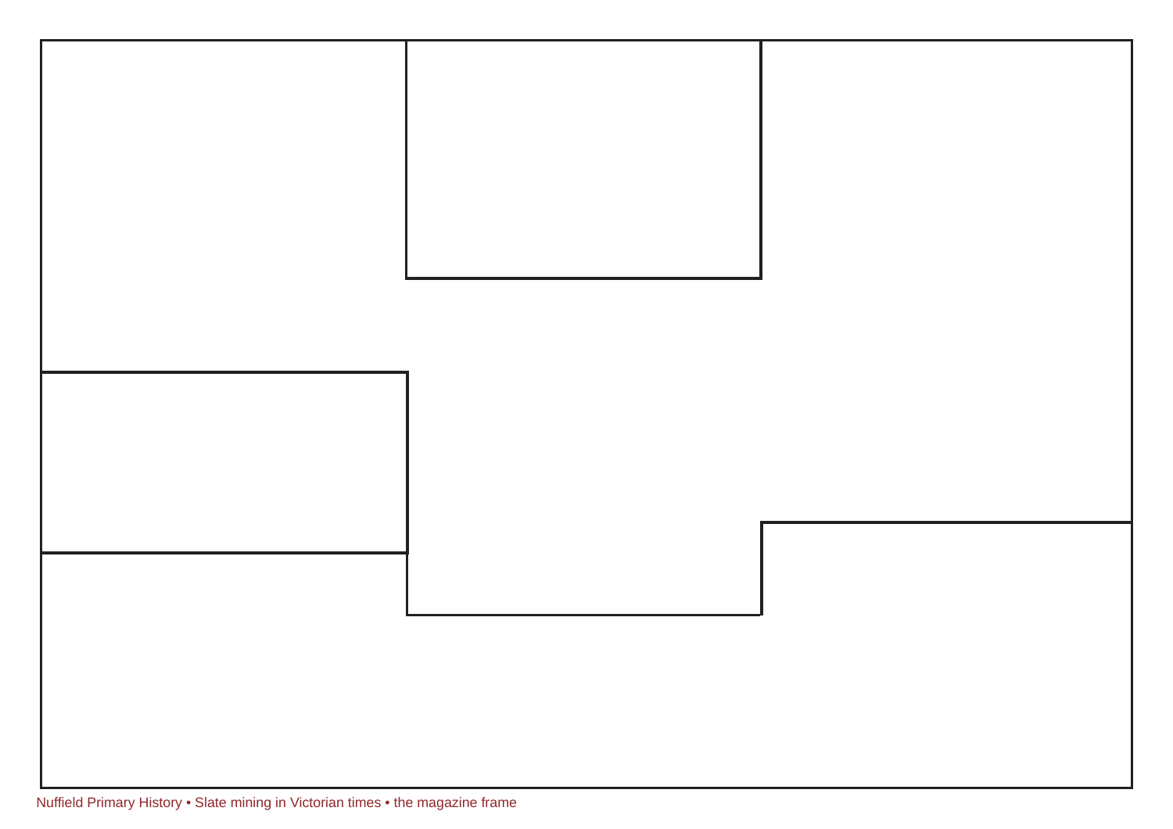